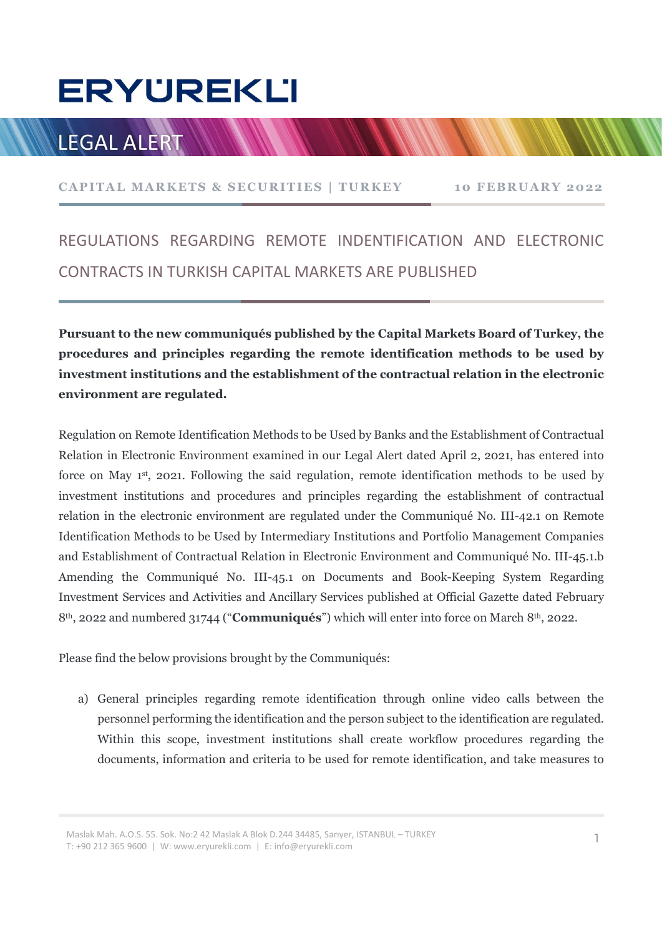## **ERYUREKLI**

### LEGAL ALERT WWW.WWW

# ERYÜREKLI<br>LEGAL ALERT WWWWWWWWWWWWWWWWWWWWWWW<br>CAPITAL MARKETS & SECURITIES | TURKEY<br>REGULATIONS REGARDING REMOTE INDENTIFICATION AND ELECTRONIC REGULATIONS REGARDING REMOTE INDENTIFICATION AND ELECTRONIC CONTRACTS IN TURKISH CAPITAL MARKETS ARE PUBLISHED

Pursuant to the new communiqués published by the Capital Markets Board of Turkey, the procedures and principles regarding the remote identification methods to be used by investment institutions and the establishment of the contractual relation in the electronic environment are regulated.

Regulation on Remote Identification Methods to be Used by Banks and the Establishment of Contractual Relation in Electronic Environment examined in our Legal Alert dated April 2, 2021, has entered into force on May 1st, 2021. Following the said regulation, remote identification methods to be used by investment institutions and procedures and principles regarding the establishment of contractual relation in the electronic environment are regulated under the Communiqué No. III-42.1 on Remote Identification Methods to be Used by Intermediary Institutions and Portfolio Management Companies and Establishment of Contractual Relation in Electronic Environment and Communiqué No. III-45.1.b Amending the Communiqué No. III-45.1 on Documents and Book-Keeping System Regarding Investment Services and Activities and Ancillary Services published at Official Gazette dated February 8<sup>th</sup>, 2022 and numbered 31744 ("**Communiqués**") which will enter into force on March 8<sup>th</sup>, 2022.

Please find the below provisions brought by the Communiqués:

a) General principles regarding remote identification through online video calls between the personnel performing the identification and the person subject to the identification are regulated. Within this scope, investment institutions shall create workflow procedures regarding the documents, information and criteria to be used for remote identification, and take measures to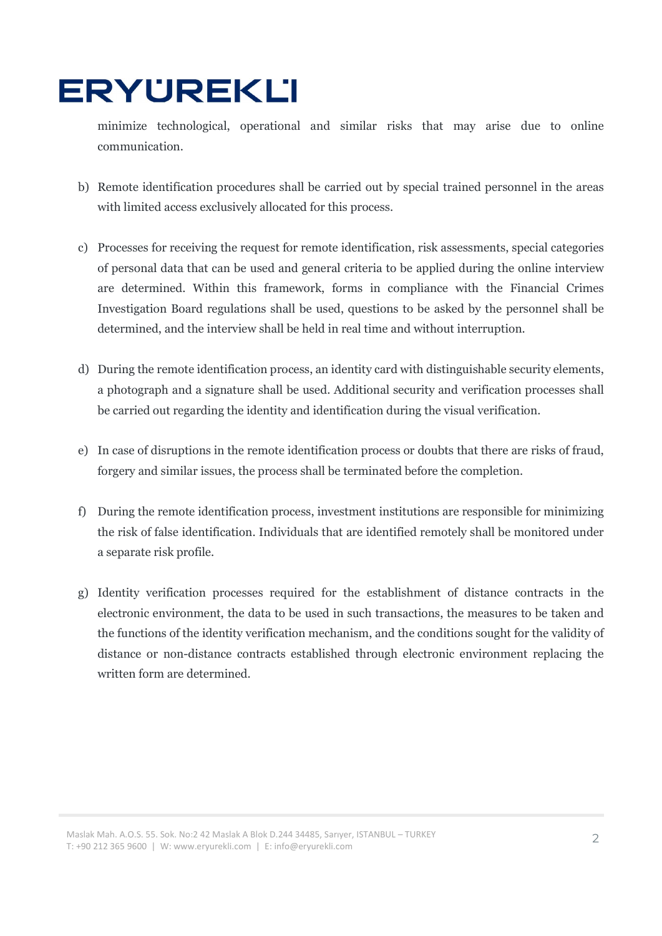### **ERYUREKLI**

minimize technological, operational and similar risks that may arise due to online communication.

- b) Remote identification procedures shall be carried out by special trained personnel in the areas with limited access exclusively allocated for this process.
- c) Processes for receiving the request for remote identification, risk assessments, special categories of personal data that can be used and general criteria to be applied during the online interview are determined. Within this framework, forms in compliance with the Financial Crimes Investigation Board regulations shall be used, questions to be asked by the personnel shall be determined, and the interview shall be held in real time and without interruption.
- d) During the remote identification process, an identity card with distinguishable security elements, a photograph and a signature shall be used. Additional security and verification processes shall be carried out regarding the identity and identification during the visual verification.
- e) In case of disruptions in the remote identification process or doubts that there are risks of fraud, forgery and similar issues, the process shall be terminated before the completion.
- f) During the remote identification process, investment institutions are responsible for minimizing the risk of false identification. Individuals that are identified remotely shall be monitored under a separate risk profile.
- g) Identity verification processes required for the establishment of distance contracts in the electronic environment, the data to be used in such transactions, the measures to be taken and the functions of the identity verification mechanism, and the conditions sought for the validity of distance or non-distance contracts established through electronic environment replacing the written form are determined.